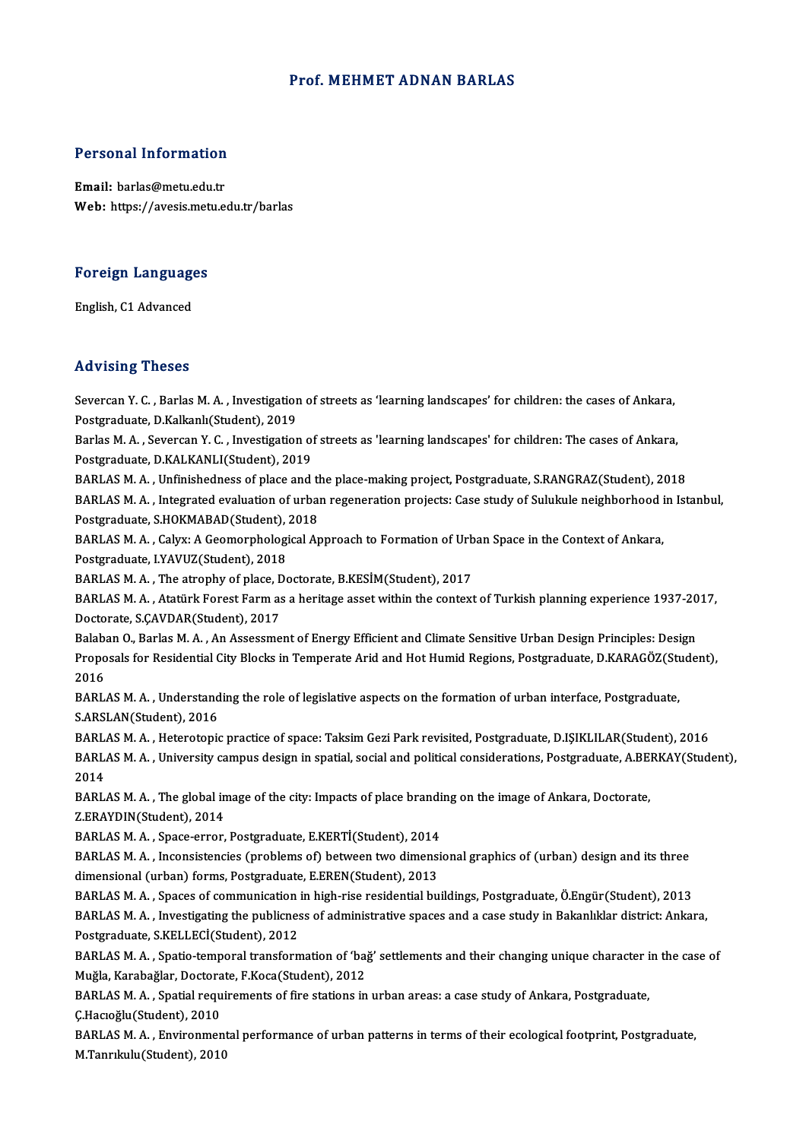#### Prof.MEHMET ADNAN BARLAS

# Personal Information

Personal Information<br>Email: barlas@metu.edu.tr<br>Web: https://avesis.metu.e Email: barlas@metu.edu.tr<br>Web: https://avesis.metu.edu.tr/barlas

### Foreign Languages <mark>Foreign Language</mark><br>English, C1 Advanced

### **English, C1 Advanced<br>Advising Theses**

Advising Theses<br>Severcan Y. C. , Barlas M. A. , Investigation of streets as 'learning landscapes' for children: the cases of Ankara,<br>Restanaduate, D.Kalkank(Student), 2019 Poster vening<br>Postgraduate, D.Kalkanlı (Student), 2019<br>Porlas M.A., Savarsan V.C., Investisation Severcan Y. C. , Barlas M. A. , Investigation of streets as 'learning landscapes' for children: the cases of Ankara,<br>Postgraduate, D.Kalkanlı(Student), 2019<br>Barlas M. A. , Severcan Y. C. , Investigation of streets as 'lear

Postgraduate, D.Kalkanlı(Student), 2019<br>Barlas M. A. , Severcan Y. C. , Investigation of<br>Postgraduate, D.KALKANLI(Student), 2019<br>BARLAS M. A. , Unfinishedness of place and Barlas M. A. , Severcan Y. C. , Investigation of streets as 'learning landscapes' for children: The cases of Ankara,<br>Postgraduate, D.KALKANLI(Student), 2019<br>BARLAS M. A. , Unfinishedness of place and the place-making proje

Postgraduate, D.KALKANLI(Student), 2019<br>BARLAS M. A. , Unfinishedness of place and the place-making project, Postgraduate, S.RANGRAZ(Student), 2018<br>BARLAS M. A. , Integrated evaluation of urban regeneration projects: Case BARLAS M. A. , Unfinishedness of place and the<br>BARLAS M. A. , Integrated evaluation of urbar<br>Postgraduate, S.HOKMABAD(Student), 2018 BARLAS M. A. , Integrated evaluation of urban regeneration projects: Case study of Sulukule neighborhood in Istanbul,<br>Postgraduate, S.HOKMABAD(Student), 2018<br>BARLAS M. A. , Calyx: A Geomorphological Approach to Formation o Postgraduate, S.HOKMABAD(Student), 2018

BARLAS M. A. , Calyx: A Geomorphological Approach to Formation of Urb<br>Postgraduate, I.YAVUZ(Student), 2018<br>BARLAS M. A. , The atrophy of place, Doctorate, B.KESİM(Student), 2017<br>BARLAS M. A. , Atatürk Forest Farm as a beri

Postgraduate, I.YAVUZ(Student), 2018<br>BARLAS M. A. , The atrophy of place, Doctorate, B.KESİM(Student), 2017<br>BARLAS M. A. , Atatürk Forest Farm as a heritage asset within the context of Turkish planning experience 1937-2017 BARLAS M. A. , The atrophy of place, C<br>BARLAS M. A. , Atatürk Forest Farm as<br>Doctorate, S.ÇAVDAR(Student), 2017<br>Balaban O. Barlas M. A. . An Assassma BARLAS M. A. , Atatürk Forest Farm as a heritage asset within the context of Turkish planning experience 1937-20<br>Doctorate, S.ÇAVDAR(Student), 2017<br>Balaban O., Barlas M. A. , An Assessment of Energy Efficient and Climate S

Doctorate, S.ÇAVDAR(Student), 2017<br>Balaban O., Barlas M. A. , An Assessment of Energy Efficient and Climate Sensitive Urban Design Principles: Design<br>Proposals for Residential City Blocks in Temperate Arid and Hot Humid Re Balaba<br>Propo<br>2016<br>PAPI Proposals for Residential City Blocks in Temperate Arid and Hot Humid Regions, Postgraduate, D.KARAGÖZ(St.<br>2016<br>BARLAS M. A. , Understanding the role of legislative aspects on the formation of urban interface, Postgraduate

2016<br>BARLAS M. A. , Understanding the role of legislative aspects on the formation of urban interface, Postgraduate,<br>S.ARSLAN(Student), 2016

BARLAS M. A., Heterotopic practice of space: Taksim Gezi Park revisited, Postgraduate, D.ISIKLILAR(Student), 2016 S.ARSLAN(Student), 2016<br>BARLAS M. A. , Heterotopic practice of space: Taksim Gezi Park revisited, Postgraduate, D.IŞIKLILAR(Student),<br>BARLAS M. A. , University campus design in spatial, social and political considerations, **BARL<br>BARL<br>2014**<br>PARL BARLAS M. A. , University campus design in spatial, social and political considerations, Postgraduate, A.BE.<br>2014<br>BARLAS M. A. , The global image of the city: Impacts of place branding on the image of Ankara, Doctorate,<br>7

2014<br>BARLAS M. A. , The global image of the city: Impacts of place branding on the image of Ankara, Doctorate,<br>Z.ERAYDIN(Student), 2014 BARLAS M. A. , The global image of the city: Impacts of place brandi<br>Z.ERAYDIN(Student), 2014<br>BARLAS M. A. , Space-error, Postgraduate, E.KERTİ(Student), 2014<br>BARLAS M. A. , Inconsistensies (problems of) between two dimens

BARLAS M. A. , Inconsistencies (problems of) between two dimensional graphics of (urban) design and its three<br>dimensional (urban) forms, Postgraduate, E.EREN(Student), 2013 BARLAS M. A. , Space-error, Postgraduate, E.KERTİ(Student), 2014<br>BARLAS M. A. , Inconsistencies (problems of) between two dimensi<br>dimensional (urban) forms, Postgraduate, E.EREN(Student), 2013<br>BARLAS M. A. , Spaces of comm BARLAS M. A. , Inconsistencies (problems of) between two dimensional graphics of (urban) design and its three<br>dimensional (urban) forms, Postgraduate, E.EREN(Student), 2013<br>BARLAS M. A. , Spaces of communication in high-ri

dimensional (urban) forms, Postgraduate, E.EREN(Student), 2013<br>BARLAS M. A. , Spaces of communication in high-rise residential buildings, Postgraduate, Ö.Engür(Student), 2013<br>BARLAS M. A. , Investigating the publicness of BARLAS M. A. , Spaces of communication<br>BARLAS M. A. , Investigating the publicnes<br>Postgraduate, S.KELLECİ(Student), 2012<br>BARLAS M. A. , Spatio tamparal transform BARLAS M. A. , Investigating the publicness of administrative spaces and a case study in Bakanlıklar district: Ankara,<br>Postgraduate, S.KELLECİ(Student), 2012<br>BARLAS M. A. , Spatio-temporal transformation of 'bağ' settlemen

Postgraduate, S.KELLECİ(Student), 2012<br>BARLAS M. A. , Spatio-temporal transformation of 'baj<br>Muğla, Karabağlar, Doctorate, F.Koca(Student), 2012<br>BARLAS M. A. , Spatial requirements of fire stations in BARLAS M. A. , Spatio-temporal transformation of 'bağ' settlements and their changing unique character i<br>Muğla, Karabağlar, Doctorate, F.Koca(Student), 2012<br>BARLAS M. A. , Spatial requirements of fire stations in urban are

Muğla, Karabağlar, Doctorate, F.Koca(Student), 2012<br>BARLAS M. A. , Spatial requirements of fire stations in urban areas: a case study of Ankara, Postgraduate,<br>Ç.Hacıoğlu(Student), 2010 BARLAS M. A. , Spatial requirements of fire stations in urban areas: a case study of Ankara, Postgraduate,<br>Ç.Hacıoğlu(Student), 2010<br>BARLAS M. A. , Environmental performance of urban patterns in terms of their ecological f

Ç.Hacıoğlu(Student), 2010<br>BARLAS M. A. , Environment<br>M.Tanrıkulu(Student), 2010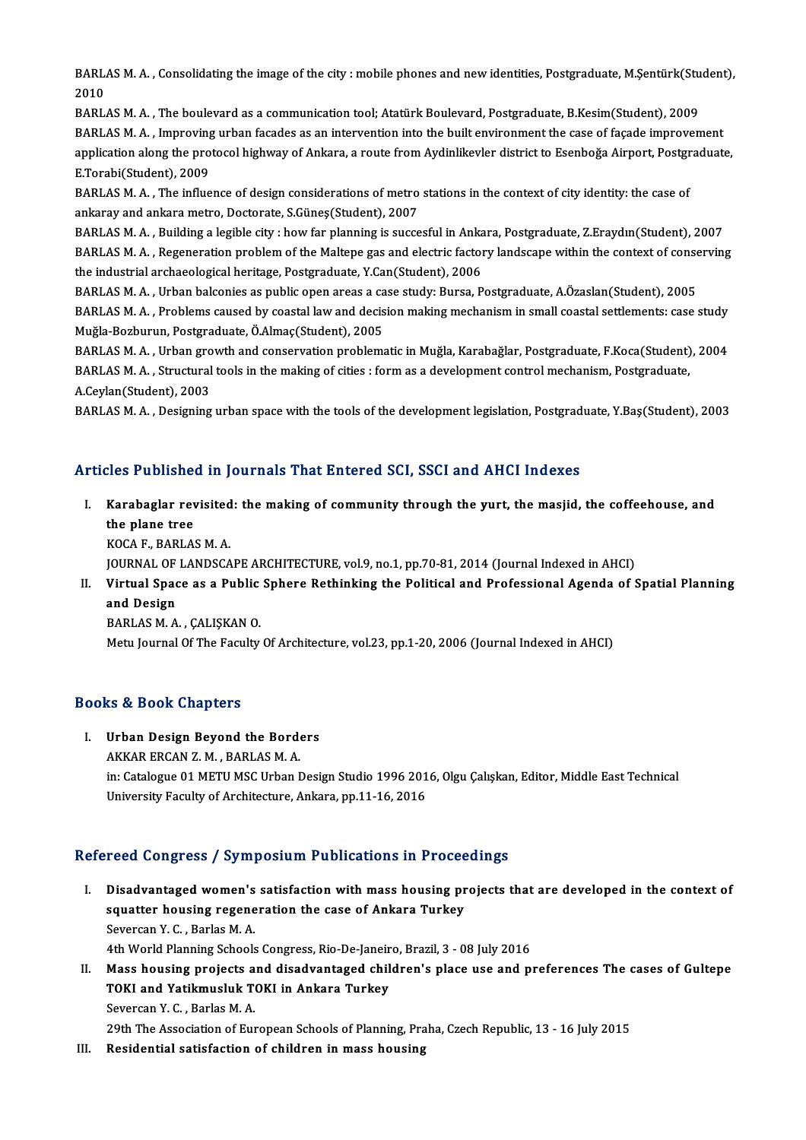BARLAS M. A. , Consolidating the image of the city : mobile phones and new identities, Postgraduate, M.Şentürk(Student),<br>2010 **BARL**<br>2010<br>PARL BARLAS M. A. , Consolidating the image of the city : mobile phones and new identities, Postgraduate, M.Şentürk(Stu<br>2010<br>BARLAS M. A. , The boulevard as a communication tool; Atatürk Boulevard, Postgraduate, B.Kesim(Student

2010<br>BARLAS M. A. , The boulevard as a communication tool; Atatürk Boulevard, Postgraduate, B.Kesim(Student), 2009<br>BARLAS M. A. , Improving urban facades as an intervention into the built environment the case of façade imp BARLAS M. A. , The boulevard as a communication tool; Atatürk Boulevard, Postgraduate, B.Kesim(Student), 2009<br>BARLAS M. A. , Improving urban facades as an intervention into the built environment the case of façade improvem BARLAS M. A. , Improving<br>application along the pro<br>E.Torabi(Student), 2009<br>BARLAS M. A. The influe application along the protocol highway of Ankara, a route from Aydinlikevler district to Esenboğa Airport, Postgr<br>E.Torabi(Student), 2009<br>BARLAS M. A. , The influence of design considerations of metro stations in the conte

E.Torabi(Student), 2009<br>BARLAS M. A. , The influence of design considerations of metro<br>ankaray and ankara metro, Doctorate, S.Güneş(Student), 2007<br>BARLAS M. A., Building a logible city : bow for planning is susse BARLAS M. A. , The influence of design considerations of metro stations in the context of city identity: the case of<br>ankaray and ankara metro, Doctorate, S.Güneş(Student), 2007<br>BARLAS M. A. , Building a legible city : how

ankaray and ankara metro, Doctorate, S.Güneş(Student), 2007<br>BARLAS M. A. , Building a legible city : how far planning is succesful in Ankara, Postgraduate, Z.Eraydın(Student), 2007<br>BARLAS M. A. , Regeneration problem of th BARLAS M. A. , Building a legible city : how far planning is succesful in Ankara, Postgraduate, Z.Eraydın(Student), 2007<br>BARLAS M. A. , Regeneration problem of the Maltepe gas and electric factory landscape within the cont BARLAS M. A. , Regeneration problem of the Maltepe gas and electric factory landscape within the context of conse<br>the industrial archaeological heritage, Postgraduate, Y.Can(Student), 2006<br>BARLAS M. A. , Urban balconies as

the industrial archaeological heritage, Postgraduate, Y.Can(Student), 2006<br>BARLAS M. A. , Urban balconies as public open areas a case study: Bursa, Postgraduate, A.Özaslan(Student), 2005<br>BARLAS M. A. , Problems caused by c Muğla-Bozburun,Postgraduate,Ö.Almaç(Student),2005 BARLAS M. A. , Problems caused by coastal law and decision making mechanism in small coastal settlements: case study<br>Muğla-Bozburun, Postgraduate, Ö.Almaç(Student), 2005<br>BARLAS M. A. , Urban growth and conservation problem

Muğla-Bozburun, Postgraduate, Ö.Almaç(Student), 2005<br>BARLAS M. A. , Urban growth and conservation problematic in Muğla, Karabağlar, Postgraduate, F.Koca(Student)<br>BARLAS M. A. , Structural tools in the making of cities : fo BARLAS M. A. , Urban gro<br>BARLAS M. A. , Structural<br>A.Ceylan(Student), 2003<br>BARLAS M. A. , Designing BARLAS M. A. , Structural tools in the making of cities : form as a development control mechanism, Postgraduate,<br>A.Ceylan(Student), 2003<br>BARLAS M. A. , Designing urban space with the tools of the development legislation, P

#### Articles Published in Journals That Entered SCI, SSCI and AHCI Indexes

rticles Published in Journals That Entered SCI, SSCI and AHCI Indexes<br>I. Karabaglar revisited: the making of community through the yurt, the masjid, the coffeehouse, and<br>the plane tree xee rashened<br>Karabaglar red<br>the plane tree<br>YOCA E PARLAS Karabaglar revisited<br>the plane tree<br>KOCA F., BARLAS M. A.<br>JOUPMAL OF LANDSCA the plane tree<br>KOCA F., BARLAS M. A.<br>JOURNAL OF LANDSCAPE ARCHITECTURE, vol.9, no.1, pp.70-81, 2014 (Journal Indexed in AHCI)<br>Virtual Space as a Public Sphare Bathinking the Political and Professional Asanda of S KOCA F., BARLAS M. A.<br>JOURNAL OF LANDSCAPE ARCHITECTURE, vol.9, no.1, pp.70-81, 2014 (Journal Indexed in AHCI)<br>II. Virtual Space as a Public Sphere Rethinking the Political and Professional Agenda of Spatial Planning<br>a

### JOURNAL OF<br>Virtual Spac<br>and Design<br>PAPLAS M.A Virtual Space as a Public<br>and Design<br>BARLAS M. A. , ÇALIŞKAN 0.<br>Metu Journal Of The Foculty. and Design<br>BARLAS M. A. , ÇALIŞKAN O.<br>Metu Journal Of The Faculty Of Architecture, vol.23, pp.1-20, 2006 (Journal Indexed in AHCI)

#### Books&Book Chapters

### I. Urban Design Beyond the Borders AKKARERCANZ.M. ,BARLASM.A. Urban Design Beyond the Borders<br>AKKAR ERCAN Z. M. , BARLAS M. A.<br>in: Catalogue 01 METU MSC Urban Design Studio 1996 2016, Olgu Çalışkan, Editor, Middle East Technical<br>University Easylty of Architecture, Ankara, pp.11.16, 2 AKKAR ERCAN Z. M. , BARLAS M. A.<br>in: Catalogue 01 METU MSC Urban Design Studio 1996 201<br>University Faculty of Architecture, Ankara, pp.11-16, 2016

## University Faculty of Architecture, Ankara, pp.11-16, 2016<br>Refereed Congress / Symposium Publications in Proceedings

- I. Disadvantaged women's satisfaction with mass housing projects that are developed in the context of state doing tool) by inpodent a disticutions in a rocce<br>Disadvantaged women's satisfaction with mass housing pr<br>squatter housing regeneration the case of Ankara Turkey Disadvantaged women's<br>squatter housing regene<br>Severcan Y. C. , Barlas M. A.<br>4th World Planning Schook Severcan Y. C. , Barlas M. A.<br>4th World Planning Schools Congress, Rio-De-Janeiro, Brazil, 3 - 08 July 2016 Severcan Y. C. , Barlas M. A.<br>4th World Planning Schools Congress, Rio-De-Janeiro, Brazil, 3 - 08 July 2016<br>II. Mass housing projects and disadvantaged children's place use and preferences The cases of Gultepe<br>TOVI and Vat
- 4th World Planning Schools Congress, Rio-De-Janeir<br>Mass housing projects and disadvantaged chil<br>TOKI and Yatikmusluk TOKI in Ankara Turkey Mass housing projects a<br>TOKI and Yatikmusluk T<br>Severcan Y. C. , Barlas M. A.<br>20th The Assesistion of Eur TOKI and Yatikmusluk TOKI in Ankara Turkey<br>Severcan Y. C. , Barlas M. A.<br>29th The Association of European Schools of Planning, Praha, Czech Republic, 13 - 16 July 2015<br>Bosidential satisfastion of shildron in mass bousing Severcan Y. C. , Barlas M. A.<br>29th The Association of European Schools of Planning, Pra<br>III. Residential satisfaction of children in mass housing